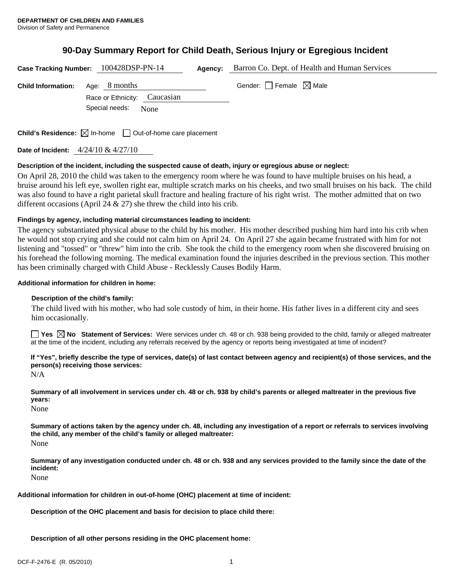# **90-Day Summary Report for Child Death, Serious Injury or Egregious Incident**

| Case Tracking Number: 100428DSP-PN-14 |                                                                         | <b>Agency:</b> Barron Co. Dept. of Health and Human Services |
|---------------------------------------|-------------------------------------------------------------------------|--------------------------------------------------------------|
| <b>Child Information:</b>             | Age: 8 months<br>Race or Ethnicity: Caucasian<br>Special needs:<br>None | Gender: Female $\boxtimes$ Male                              |
|                                       |                                                                         |                                                              |

**Child's Residence:**  $\boxtimes$  In-home  $\Box$  Out-of-home care placement

**Date of Incident:** 4/24/10 & 4/27/10

## **Description of the incident, including the suspected cause of death, injury or egregious abuse or neglect:**

On April 28, 2010 the child was taken to the emergency room where he was found to have multiple bruises on his head, a bruise around his left eye, swollen right ear, multiple scratch marks on his cheeks, and two small bruises on his back. The child was also found to have a right parietal skull fracture and healing fracture of his right wrist. The mother admitted that on two different occasions (April 24 & 27) she threw the child into his crib.

#### **Findings by agency, including material circumstances leading to incident:**

The agency substantiated physical abuse to the child by his mother. His mother described pushing him hard into his crib when he would not stop crying and she could not calm him on April 24. On April 27 she again became frustrated with him for not listening and "tossed" or "threw" him into the crib. She took the child to the emergency room when she discovered bruising on his forehead the following morning. The medical examination found the injuries described in the previous section. This mother has been criminally charged with Child Abuse - Recklessly Causes Bodily Harm.

## **Additional information for children in home:**

## **Description of the child's family:**

 The child lived with his mother, who had sole custody of him, in their home. His father lives in a different city and sees him occasionally.

**Yes No Statement of Services:** Were services under ch. 48 or ch. 938 being provided to the child, family or alleged maltreater at the time of the incident, including any referrals received by the agency or reports being investigated at time of incident?

# **If "Yes", briefly describe the type of services, date(s) of last contact between agency and recipient(s) of those services, and the person(s) receiving those services:**

N/A

**Summary of all involvement in services under ch. 48 or ch. 938 by child's parents or alleged maltreater in the previous five years:** 

None

**Summary of actions taken by the agency under ch. 48, including any investigation of a report or referrals to services involving the child, any member of the child's family or alleged maltreater:** 

None

**Summary of any investigation conducted under ch. 48 or ch. 938 and any services provided to the family since the date of the incident:** 

None

**Additional information for children in out-of-home (OHC) placement at time of incident:** 

**Description of the OHC placement and basis for decision to place child there:** 

**Description of all other persons residing in the OHC placement home:**